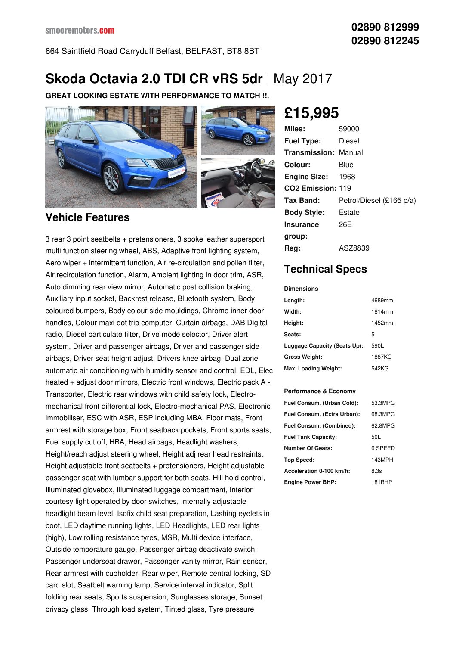664 Saintfield Road Carryduff Belfast, BELFAST, BT8 8BT

# **Skoda Octavia 2.0 TDI CR vRS 5dr** |May 2017

**GREAT LOOKING ESTATE WITH PERFORMANCE TO MATCH !!.**



#### **Vehicle Features**

3 rear 3 point seatbelts + pretensioners, 3 spoke leather supersport multi function steering wheel, ABS, Adaptive front lighting system, Aero wiper + intermittent function, Air re-circulation and pollen filter, Air recirculation function, Alarm, Ambient lighting in door trim, ASR, Auto dimming rear view mirror, Automatic post collision braking, Auxiliary input socket, Backrest release, Bluetooth system, Body coloured bumpers, Body colour side mouldings, Chrome inner door handles, Colour maxi dot trip computer, Curtain airbags, DAB Digital radio, Diesel particulate filter, Drive mode selector, Driver alert system, Driver and passenger airbags, Driver and passenger side airbags, Driver seat height adjust, Drivers knee airbag, Dual zone automatic air conditioning with humidity sensor and control, EDL, Elec heated + adjust door mirrors, Electric front windows, Electric pack A - Transporter, Electric rear windows with child safety lock, Electro mechanical front differential lock, Electro-mechanical PAS, Electronic immobiliser, ESC with ASR, ESP including MBA, Floor mats, Front armrest with storage box, Front seatback pockets, Front sports seats, Fuel supply cut off, HBA, Head airbags, Headlight washers, Height/reach adjust steering wheel, Height adj rear head restraints, Height adjustable front seatbelts + pretensioners, Height adjustable passenger seat with lumbar support for both seats, Hill hold control, Illuminated glovebox, Illuminated luggage compartment, Interior courtesy light operated by door switches, Internally adjustable headlight beam level, Isofix child seat preparation, Lashing eyelets in boot, LED daytime running lights, LED Headlights, LED rear lights (high), Low rolling resistance tyres, MSR, Multi device interface, Outside temperature gauge, Passenger airbag deactivate switch, Passenger underseat drawer, Passenger vanity mirror, Rain sensor, Rear armrest with cupholder, Rear wiper, Remote central locking, SD card slot, Seatbelt warning lamp, Service interval indicator, Split folding rear seats, Sports suspension, Sunglasses storage, Sunset privacy glass, Through load system, Tinted glass, Tyre pressure

## **£15,995**

| Miles:                        | 59000                    |
|-------------------------------|--------------------------|
| <b>Fuel Type:</b>             | Diesel                   |
| Transmission:                 | Manual                   |
| Colour:                       | Blue                     |
| <b>Engine Size:</b>           | 1968                     |
| CO <sub>2</sub> Emission: 119 |                          |
| Tax Band:                     | Petrol/Diesel (£165 p/a) |
| <b>Body Style:</b>            | Estate                   |
| Insurance                     | 26F                      |
| group:                        |                          |
| Reg:                          | ASZ8839                  |

### **Technical Specs**

**Dimensions**

| Length:                      | 4689mm |
|------------------------------|--------|
| Width:                       | 1814mm |
| Height:                      | 1452mm |
| Seats:                       | 5      |
| Luggage Capacity (Seats Up): | 590L   |
| <b>Gross Weight:</b>         | 1887KG |
| Max. Loading Weight:         | 542KG  |

#### **Performance & Economy**

| Fuel Consum. (Urban Cold):  | 53.3MPG |
|-----------------------------|---------|
| Fuel Consum. (Extra Urban): | 68.3MPG |
| Fuel Consum. (Combined):    | 62.8MPG |
| <b>Fuel Tank Capacity:</b>  | 50L     |
| <b>Number Of Gears:</b>     | 6 SPEED |
| Top Speed:                  | 143MPH  |
| Acceleration 0-100 km/h:    | 8.3s    |
| <b>Engine Power BHP:</b>    | 181BHP  |